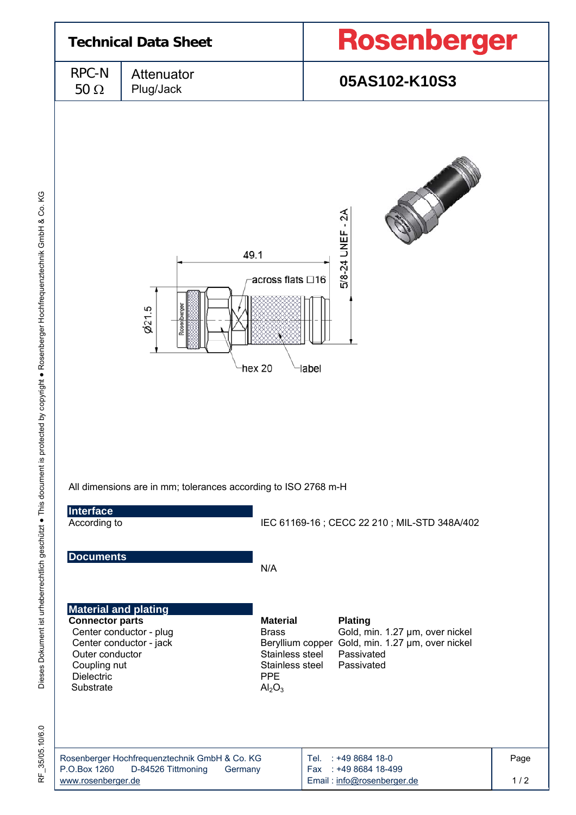

Dieses Dokument ist urheberrechtlich geschützt ● This document is protected by copyright ● Rosenberger Hochfrequenztechnik GmbH & Co. KG Dieses Dokument ist urheberrechtlich geschützt · This document is protected by copyright · Rosenberger Hochfrequenztechnik GmbH & Co. KG

RF\_35/05.10/6.0 35/05.10/6.0 눈